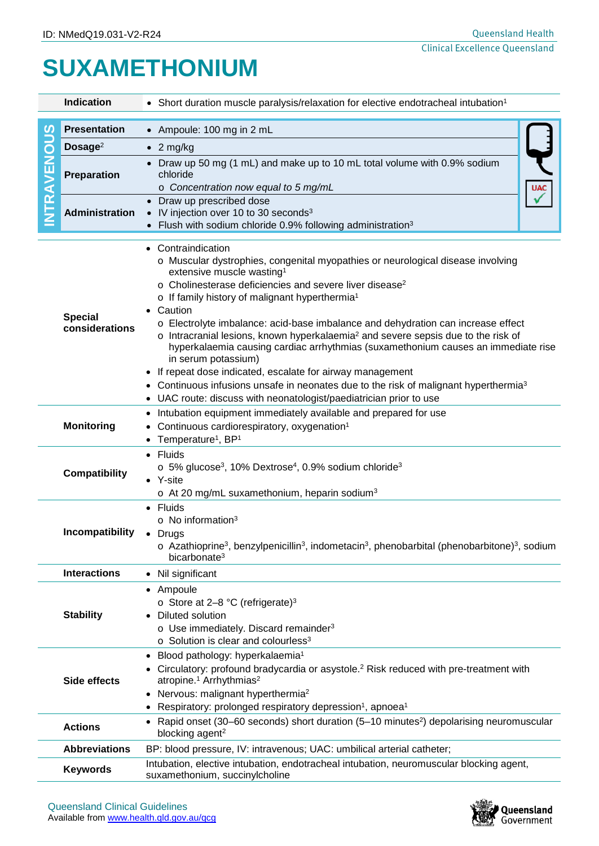## **SUXAMETHONIUM**

|                | <b>Indication</b>                                                                                                                                                                                                  | • Short duration muscle paralysis/relaxation for elective endotracheal intubation <sup>1</sup>                                                                                                                                                                                                                                                                                                                                                                                                                                                                                                                                                                                                                                                                                                                                                     |  |  |  |  |  |  |
|----------------|--------------------------------------------------------------------------------------------------------------------------------------------------------------------------------------------------------------------|----------------------------------------------------------------------------------------------------------------------------------------------------------------------------------------------------------------------------------------------------------------------------------------------------------------------------------------------------------------------------------------------------------------------------------------------------------------------------------------------------------------------------------------------------------------------------------------------------------------------------------------------------------------------------------------------------------------------------------------------------------------------------------------------------------------------------------------------------|--|--|--|--|--|--|
|                |                                                                                                                                                                                                                    |                                                                                                                                                                                                                                                                                                                                                                                                                                                                                                                                                                                                                                                                                                                                                                                                                                                    |  |  |  |  |  |  |
| ທ<br><b>SO</b> | <b>Presentation</b>                                                                                                                                                                                                | • Ampoule: 100 mg in 2 mL                                                                                                                                                                                                                                                                                                                                                                                                                                                                                                                                                                                                                                                                                                                                                                                                                          |  |  |  |  |  |  |
|                | Dosage $2$                                                                                                                                                                                                         | $\bullet$ 2 mg/kg                                                                                                                                                                                                                                                                                                                                                                                                                                                                                                                                                                                                                                                                                                                                                                                                                                  |  |  |  |  |  |  |
| TRAVEN         | Preparation                                                                                                                                                                                                        | Draw up 50 mg (1 mL) and make up to 10 mL total volume with 0.9% sodium<br>chloride<br><b>UAC</b><br>o Concentration now equal to 5 mg/mL                                                                                                                                                                                                                                                                                                                                                                                                                                                                                                                                                                                                                                                                                                          |  |  |  |  |  |  |
|                | <b>Administration</b>                                                                                                                                                                                              | Draw up prescribed dose<br>• IV injection over 10 to 30 seconds <sup>3</sup><br>Flush with sodium chloride 0.9% following administration <sup>3</sup>                                                                                                                                                                                                                                                                                                                                                                                                                                                                                                                                                                                                                                                                                              |  |  |  |  |  |  |
|                | <b>Special</b><br>considerations                                                                                                                                                                                   | Contraindication<br>o Muscular dystrophies, congenital myopathies or neurological disease involving<br>extensive muscle wasting <sup>1</sup><br>o Cholinesterase deficiencies and severe liver disease <sup>2</sup><br>o If family history of malignant hyperthermia <sup>1</sup><br>Caution<br>o Electrolyte imbalance: acid-base imbalance and dehydration can increase effect<br>$\circ$ Intracranial lesions, known hyperkalaemia <sup>2</sup> and severe sepsis due to the risk of<br>hyperkalaemia causing cardiac arrhythmias (suxamethonium causes an immediate rise<br>in serum potassium)<br>If repeat dose indicated, escalate for airway management<br>$\bullet$<br>Continuous infusions unsafe in neonates due to the risk of malignant hyperthermia <sup>3</sup><br>UAC route: discuss with neonatologist/paediatrician prior to use |  |  |  |  |  |  |
|                | <b>Monitoring</b>                                                                                                                                                                                                  | Intubation equipment immediately available and prepared for use<br>٠<br>Continuous cardiorespiratory, oxygenation <sup>1</sup><br>Temperature <sup>1</sup> , BP <sup>1</sup><br>$\bullet$                                                                                                                                                                                                                                                                                                                                                                                                                                                                                                                                                                                                                                                          |  |  |  |  |  |  |
|                | <b>Compatibility</b>                                                                                                                                                                                               | <b>Fluids</b><br>$\circ$ 5% glucose <sup>3</sup> , 10% Dextrose <sup>4</sup> , 0.9% sodium chloride <sup>3</sup><br>• Y-site<br>$\circ$ At 20 mg/mL suxamethonium, heparin sodium <sup>3</sup>                                                                                                                                                                                                                                                                                                                                                                                                                                                                                                                                                                                                                                                     |  |  |  |  |  |  |
|                | Incompatibility                                                                                                                                                                                                    | • Fluids<br>$\circ$ No information <sup>3</sup><br>Drugs<br>$\circ$ Azathioprine <sup>3</sup> , benzylpenicillin <sup>3</sup> , indometacin <sup>3</sup> , phenobarbital (phenobarbitone) <sup>3</sup> , sodium<br>bicarbonate <sup>3</sup>                                                                                                                                                                                                                                                                                                                                                                                                                                                                                                                                                                                                        |  |  |  |  |  |  |
|                | <b>Interactions</b>                                                                                                                                                                                                | • Nil significant                                                                                                                                                                                                                                                                                                                                                                                                                                                                                                                                                                                                                                                                                                                                                                                                                                  |  |  |  |  |  |  |
|                | Ampoule<br>$\bullet$<br>$\circ$ Store at 2–8 °C (refrigerate) <sup>3</sup><br>Diluted solution<br>$\circ$ Use immediately. Discard remainder <sup>3</sup><br>$\circ$ Solution is clear and colourless <sup>3</sup> |                                                                                                                                                                                                                                                                                                                                                                                                                                                                                                                                                                                                                                                                                                                                                                                                                                                    |  |  |  |  |  |  |
|                | <b>Side effects</b>                                                                                                                                                                                                | Blood pathology: hyperkalaemia <sup>1</sup><br>$\bullet$<br>Circulatory: profound bradycardia or asystole. <sup>2</sup> Risk reduced with pre-treatment with<br>atropine. <sup>1</sup> Arrhythmias <sup>2</sup><br>• Nervous: malignant hyperthermia <sup>2</sup><br>Respiratory: prolonged respiratory depression <sup>1</sup> , apnoea <sup>1</sup>                                                                                                                                                                                                                                                                                                                                                                                                                                                                                              |  |  |  |  |  |  |
|                | <b>Actions</b>                                                                                                                                                                                                     | Rapid onset (30–60 seconds) short duration (5–10 minutes <sup>2</sup> ) depolarising neuromuscular<br>blocking agent <sup>2</sup>                                                                                                                                                                                                                                                                                                                                                                                                                                                                                                                                                                                                                                                                                                                  |  |  |  |  |  |  |
|                | <b>Abbreviations</b>                                                                                                                                                                                               | BP: blood pressure, IV: intravenous; UAC: umbilical arterial catheter;                                                                                                                                                                                                                                                                                                                                                                                                                                                                                                                                                                                                                                                                                                                                                                             |  |  |  |  |  |  |
|                | <b>Keywords</b>                                                                                                                                                                                                    | Intubation, elective intubation, endotracheal intubation, neuromuscular blocking agent,<br>suxamethonium, succinylcholine                                                                                                                                                                                                                                                                                                                                                                                                                                                                                                                                                                                                                                                                                                                          |  |  |  |  |  |  |